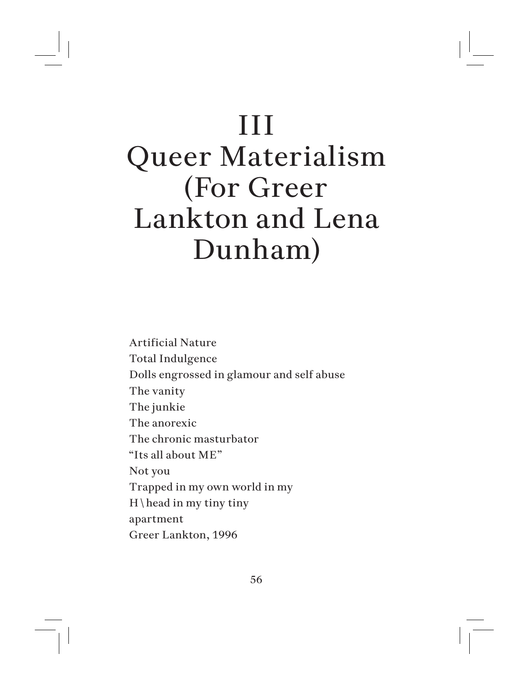## III

## Queer Materialism (For Greer Lankton and Lena Dunham)

Artificial Nature Total Indulgence Dolls engrossed in glamour and self abuse The vanity The junkie The anorexic The chronic masturbator "Its all about ME" Not you Trapped in my own world in my  $H \$ apartment Greer Lankton, 1996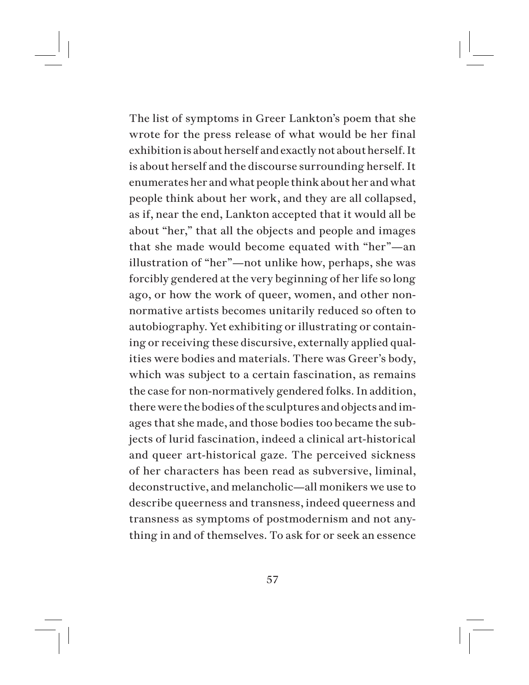The list of symptoms in Greer Lankton's poem that she wrote for the press release of what would be her final exhibition is about herself and exactly not about herself. It is about herself and the discourse surrounding herself. It enumerates her and what people think about her and what people think about her work, and they are all collapsed, as if, near the end, Lankton accepted that it would all be about "her," that all the objects and people and images that she made would become equated with "her"—an illustration of "her"—not unlike how, perhaps, she was forcibly gendered at the very beginning of her life so long ago, or how the work of queer, women, and other nonnormative artists becomes unitarily reduced so often to autobiography. Yet exhibiting or illustrating or containing or receiving these discursive, externally applied qualities were bodies and materials. There was Greer's body, which was subject to a certain fascination, as remains the case for non-normatively gendered folks. In addition, there were the bodies of the sculptures and objects and images that she made, and those bodies too became the subjects of lurid fascination, indeed a clinical art-historical and queer art-historical gaze. The perceived sickness of her characters has been read as subversive, liminal, deconstructive, and melancholic—all monikers we use to describe queerness and transness, indeed queerness and transness as symptoms of postmodernism and not anything in and of themselves. To ask for or seek an essence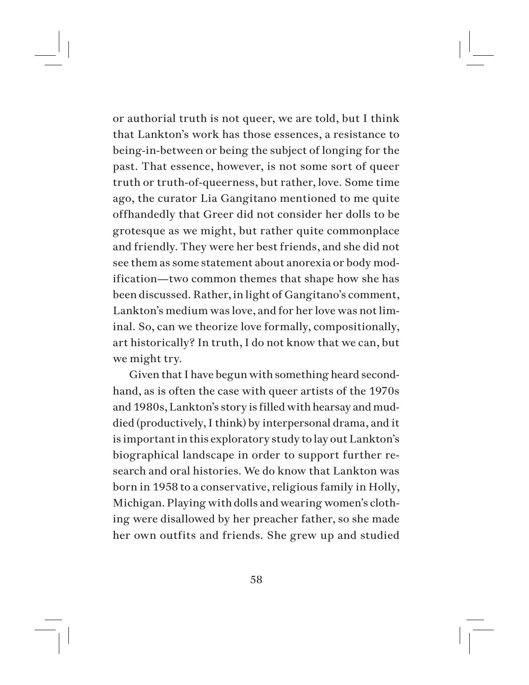or authorial truth is not queer, we are told, but I think that Lankton's work has those essences, a resistance to being-in-between or being the subject of longing for the past. That essence, however, is not some sort of queer truth or truth-of-queerness, but rather, love. Some time ago, the curator Lia Gangitano mentioned to me quite offhandedly that Greer did not consider her dolls to be grotesque as we might, but rather quite commonplace and friendly. They were her best friends, and she did not see them as some statement about anorexia or body modification—two common themes that shape how she has been discussed. Rather, in light of Gangitano's comment, Lankton's medium was love, and for her love was not liminal. So, can we theorize love formally, compositionally, art historically? In truth, I do not know that we can, but we might try.

Given that I have begun with something heard secondhand, as is often the case with queer artists of the 1970s and 1980s, Lankton's story is filled with hearsay and muddied (productively, I think) by interpersonal drama, and it is important in this exploratory study to lay out Lankton's biographical landscape in order to support further research and oral histories. We do know that Lankton was born in 1958 to a conservative, religious family in Holly, Michigan. Playing with dolls and wearing women's clothing were disallowed by her preacher father, so she made her own outfits and friends. She grew up and studied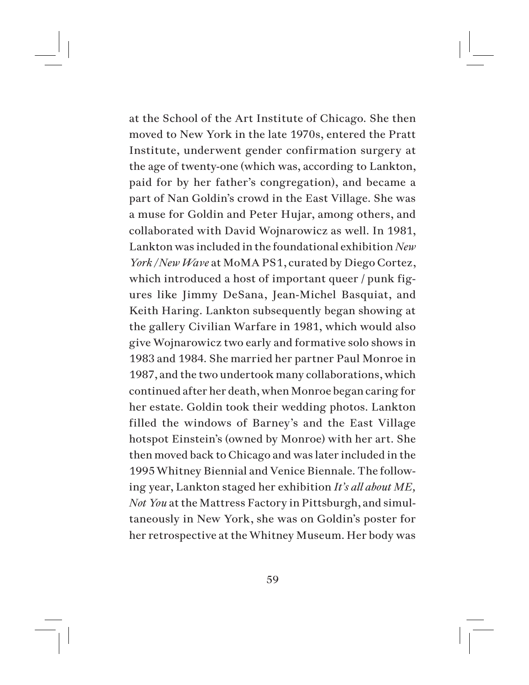at the School of the Art Institute of Chicago. She then moved to New York in the late 1970s, entered the Pratt Institute, underwent gender confirmation surgery at the age of twenty-one (which was, according to Lankton, paid for by her father's congregation), and became a part of Nan Goldin's crowd in the East Village. She was a muse for Goldin and Peter Hujar, among others, and collaborated with David Wojnarowicz as well. In 1981, Lankton was included in the foundational exhibition *New York / New Wave* at MoMA PS1, curated by Diego Cortez, which introduced a host of important queer / punk figures like Jimmy DeSana, Jean-Michel Basquiat, and Keith Haring. Lankton subsequently began showing at the gallery Civilian Warfare in 1981, which would also give Wojnarowicz two early and formative solo shows in 1983 and 1984. She married her partner Paul Monroe in 1987, and the two undertook many collaborations, which continued after her death, when Monroe began caring for her estate. Goldin took their wedding photos. Lankton filled the windows of Barney's and the East Village hotspot Einstein's (owned by Monroe) with her art. She then moved back to Chicago and was later included in the 1995 Whitney Biennial and Venice Biennale. The following year, Lankton staged her exhibition *It's all about ME, Not You* at the Mattress Factory in Pittsburgh, and simultaneously in New York, she was on Goldin's poster for her retrospective at the Whitney Museum. Her body was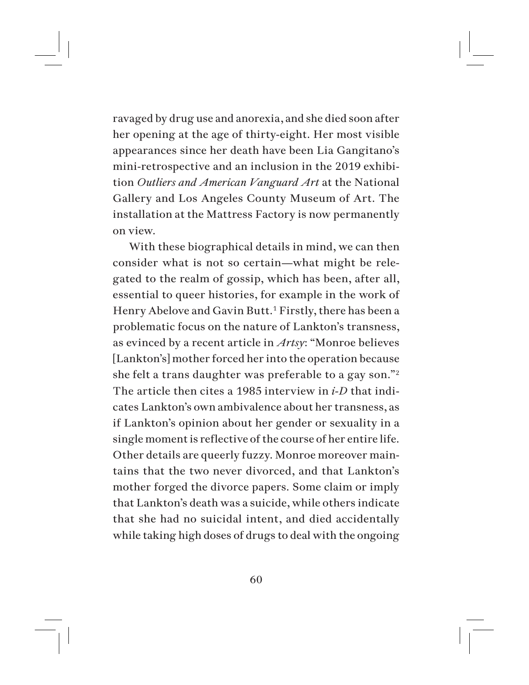ravaged by drug use and anorexia, and she died soon after her opening at the age of thirty-eight. Her most visible appearances since her death have been Lia Gangitano's mini-retrospective and an inclusion in the 2019 exhibition *Outliers and American Vanguard Art* at the National Gallery and Los Angeles County Museum of Art. The installation at the Mattress Factory is now permanently on view.

With these biographical details in mind, we can then consider what is not so certain—what might be relegated to the realm of gossip, which has been, after all, essential to queer histories, for example in the work of Henry Abelove and Gavin Butt.<sup>1</sup> Firstly, there has been a problematic focus on the nature of Lankton's transness, as evinced by a recent article in *Artsy*: "Monroe believes [Lankton's] mother forced her into the operation because she felt a trans daughter was preferable to a gay son."<sup>2</sup> The article then cites a 1985 interview in *i-D* that indicates Lankton's own ambivalence about her transness, as if Lankton's opinion about her gender or sexuality in a single moment is reflective of the course of her entire life. Other details are queerly fuzzy. Monroe moreover maintains that the two never divorced, and that Lankton's mother forged the divorce papers. Some claim or imply that Lankton's death was a suicide, while others indicate that she had no suicidal intent, and died accidentally while taking high doses of drugs to deal with the ongoing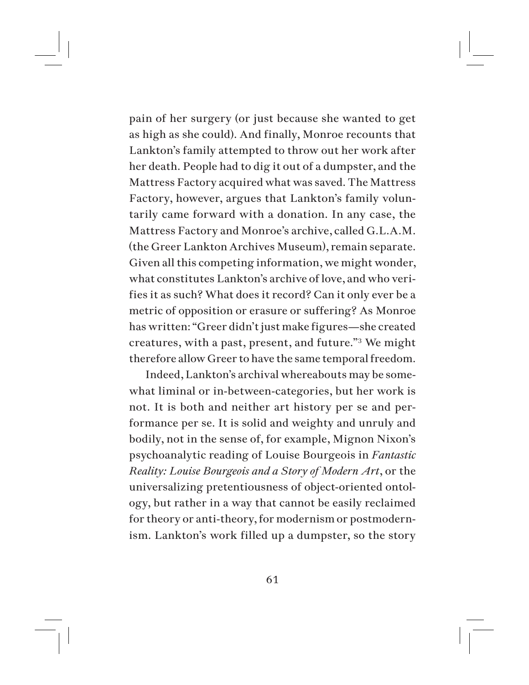pain of her surgery (or just because she wanted to get as high as she could). And finally, Monroe recounts that Lankton's family attempted to throw out her work after her death. People had to dig it out of a dumpster, and the Mattress Factory acquired what was saved. The Mattress Factory, however, argues that Lankton's family voluntarily came forward with a donation. In any case, the Mattress Factory and Monroe's archive, called G.L.A.M. (the Greer Lankton Archives Museum), remain separate. Given all this competing information, we might wonder, what constitutes Lankton's archive of love, and who verifies it as such? What does it record? Can it only ever be a metric of opposition or erasure or suffering? As Monroe has written: "Greer didn't just make figures—she created creatures, with a past, present, and future."3 We might therefore allow Greer to have the same temporal freedom.

Indeed, Lankton's archival whereabouts may be somewhat liminal or in-between-categories, but her work is not. It is both and neither art history per se and performance per se. It is solid and weighty and unruly and bodily, not in the sense of, for example, Mignon Nixon's psychoanalytic reading of Louise Bourgeois in *Fantastic Reality: Louise Bourgeois and a Story of Modern Art*, or the universalizing pretentiousness of object-oriented ontology, but rather in a way that cannot be easily reclaimed for theory or anti-theory, for modernism or postmodernism. Lankton's work filled up a dumpster, so the story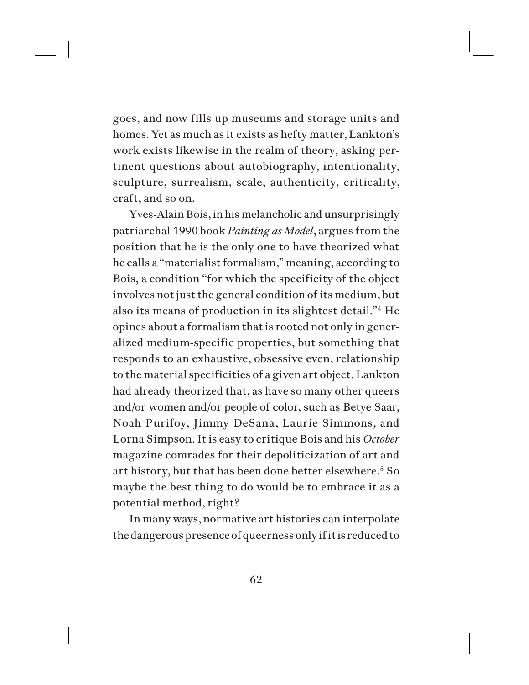goes, and now fills up museums and storage units and homes. Yet as much as it exists as hefty matter, Lankton's work exists likewise in the realm of theory, asking pertinent questions about autobiography, intentionality, sculpture, surrealism, scale, authenticity, criticality, craft, and so on.

Yves-Alain Bois, in his melancholic and unsurprisingly patriarchal 1990 book *Painting as Model*, argues from the position that he is the only one to have theorized what he calls a "materialist formalism," meaning, according to Bois, a condition "for which the specificity of the object involves not just the general condition of its medium, but also its means of production in its slightest detail."<sup>4</sup> He opines about a formalism that is rooted not only in generalized medium-specific properties, but something that responds to an exhaustive, obsessive even, relationship to the material specificities of a given art object. Lankton had already theorized that, as have so many other queers and/or women and/or people of color, such as Betye Saar, Noah Purifoy, Jimmy DeSana, Laurie Simmons, and Lorna Simpson. It is easy to critique Bois and his *October* magazine comrades for their depoliticization of art and art history, but that has been done better elsewhere.<sup>5</sup> So maybe the best thing to do would be to embrace it as a potential method, right?

In many ways, normative art histories can interpolate the dangerous presence of queerness only if it is reduced to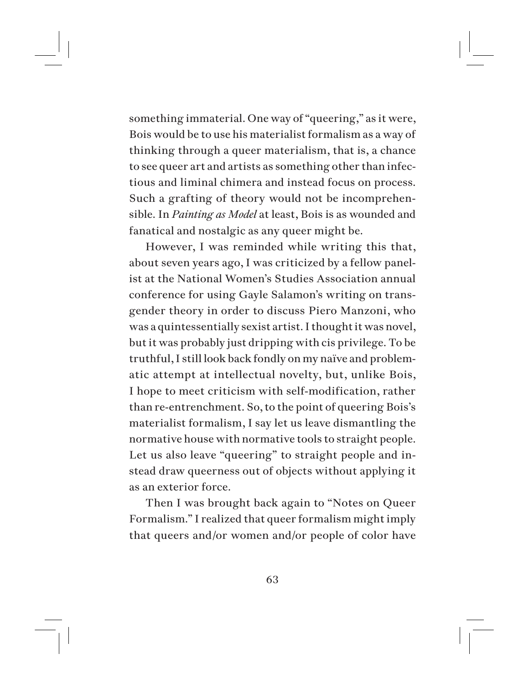something immaterial. One way of "queering," as it were, Bois would be to use his materialist formalism as a way of thinking through a queer materialism, that is, a chance to see queer art and artists as something other than infectious and liminal chimera and instead focus on process. Such a grafting of theory would not be incomprehensible. In *Painting as Model* at least, Bois is as wounded and fanatical and nostalgic as any queer might be.

However, I was reminded while writing this that, about seven years ago, I was criticized by a fellow panelist at the National Women's Studies Association annual conference for using Gayle Salamon's writing on transgender theory in order to discuss Piero Manzoni, who was a quintessentially sexist artist. I thought it was novel, but it was probably just dripping with cis privilege. To be truthful, I still look back fondly on my naïve and problematic attempt at intellectual novelty, but, unlike Bois, I hope to meet criticism with self-modification, rather than re-entrenchment. So, to the point of queering Bois's materialist formalism, I say let us leave dismantling the normative house with normative tools to straight people. Let us also leave "queering" to straight people and instead draw queerness out of objects without applying it as an exterior force.

Then I was brought back again to "Notes on Queer Formalism." I realized that queer formalism might imply that queers and/or women and/or people of color have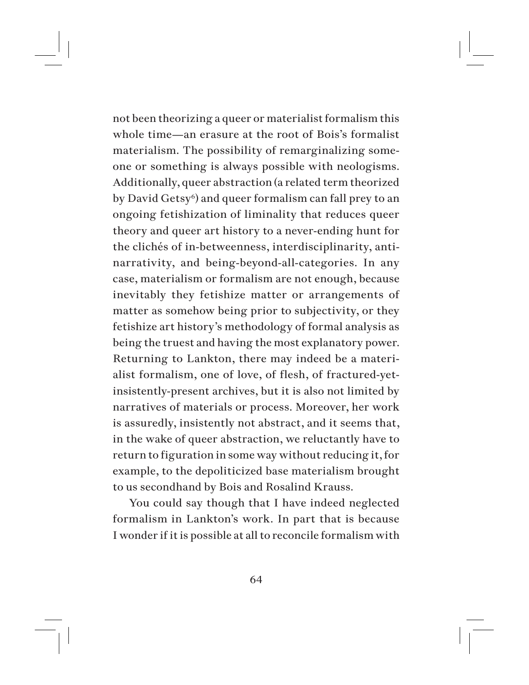not been theorizing a queer or materialist formalism this whole time—an erasure at the root of Bois's formalist materialism. The possibility of remarginalizing someone or something is always possible with neologisms. Additionally, queer abstraction (a related term theorized by David Getsy<sup>6</sup>) and queer formalism can fall prey to an ongoing fetishization of liminality that reduces queer theory and queer art history to a never-ending hunt for the clichés of in-betweenness, interdisciplinarity, antinarrativity, and being-beyond-all-categories. In any case, materialism or formalism are not enough, because inevitably they fetishize matter or arrangements of matter as somehow being prior to subjectivity, or they fetishize art history's methodology of formal analysis as being the truest and having the most explanatory power. Returning to Lankton, there may indeed be a materialist formalism, one of love, of flesh, of fractured-yetinsistently-present archives, but it is also not limited by narratives of materials or process. Moreover, her work is assuredly, insistently not abstract, and it seems that, in the wake of queer abstraction, we reluctantly have to return to figuration in some way without reducing it, for example, to the depoliticized base materialism brought to us secondhand by Bois and Rosalind Krauss.

You could say though that I have indeed neglected formalism in Lankton's work. In part that is because I wonder if it is possible at all to reconcile formalism with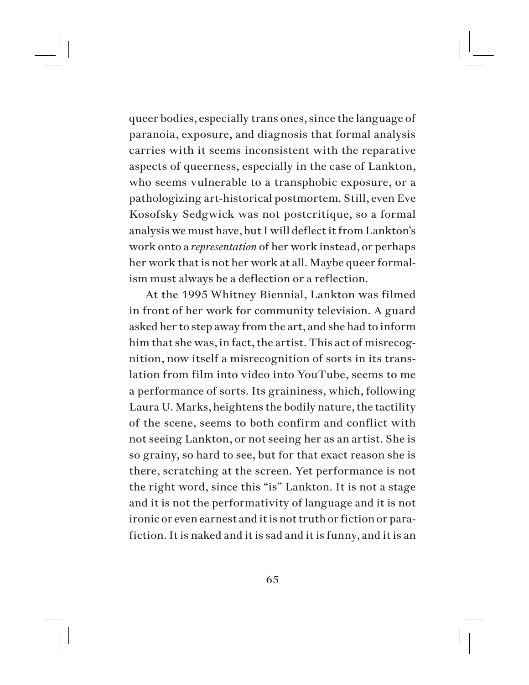queer bodies, especially trans ones, since the language of paranoia, exposure, and diagnosis that formal analysis carries with it seems inconsistent with the reparative aspects of queerness, especially in the case of Lankton, who seems vulnerable to a transphobic exposure, or a pathologizing art-historical postmortem. Still, even Eve Kosofsky Sedgwick was not postcritique, so a formal analysis we must have, but I will deflect it from Lankton's work onto a *representation* of her work instead, or perhaps her work that is not her work at all. Maybe queer formalism must always be a deflection or a reflection.

At the 1995 Whitney Biennial, Lankton was filmed in front of her work for community television. A guard asked her to step away from the art, and she had to inform him that she was, in fact, the artist. This act of misrecognition, now itself a misrecognition of sorts in its translation from film into video into YouTube, seems to me a performance of sorts. Its graininess, which, following Laura U. Marks, heightens the bodily nature, the tactility of the scene, seems to both confirm and conflict with not seeing Lankton, or not seeing her as an artist. She is so grainy, so hard to see, but for that exact reason she is there, scratching at the screen. Yet performance is not the right word, since this "is" Lankton. It is not a stage and it is not the performativity of language and it is not ironic or even earnest and it is not truth or fiction or parafiction. It is naked and it is sad and it is funny, and it is an